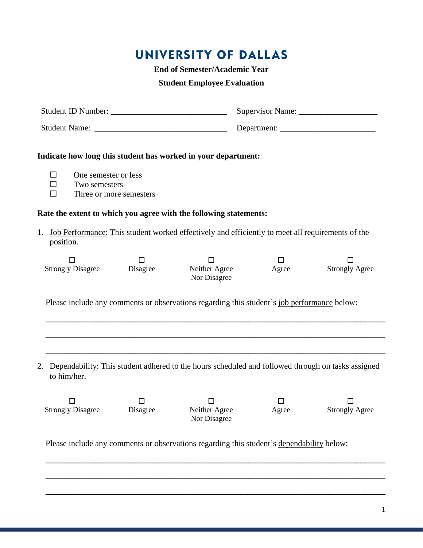## UNIVERSITY OF DALLAS

**End of Semester/Academic Year**

## **Student Employee Evaluation**

| One semester or less<br>□<br>$\Box$<br>Two semesters<br>П | Three or more semesters | Indicate how long this student has worked in your department:                                     |                 |                            |  |  |
|-----------------------------------------------------------|-------------------------|---------------------------------------------------------------------------------------------------|-----------------|----------------------------|--|--|
|                                                           |                         | Rate the extent to which you agree with the following statements:                                 |                 |                            |  |  |
| 1.<br>position.                                           |                         | Job Performance: This student worked effectively and efficiently to meet all requirements of the  |                 |                            |  |  |
| $\mathsf{L}$<br><b>Strongly Disagree</b> Disagree         | $\Box$                  | $\Box$<br>Neither Agree<br>Nor Disagree                                                           | $\Box$<br>Agree | <b>Strongly Agree</b>      |  |  |
|                                                           |                         | Please include any comments or observations regarding this student's job performance below:       |                 |                            |  |  |
|                                                           |                         |                                                                                                   |                 |                            |  |  |
|                                                           |                         |                                                                                                   |                 |                            |  |  |
| 2.<br>to him/her.                                         |                         | Dependability: This student adhered to the hours scheduled and followed through on tasks assigned |                 |                            |  |  |
| $\Box$<br><b>Strongly Disagree</b> Disagree               | $\Box$                  | $\Box$<br>Neither Agree<br>Nor Disagree                                                           | $\Box$<br>Agree | П<br><b>Strongly Agree</b> |  |  |

Please include any comments or observations regarding this student's dependability below:

 **\_\_\_\_\_\_\_\_\_\_\_\_\_\_\_\_\_\_\_\_\_\_\_\_\_\_\_\_\_\_\_\_\_\_\_\_\_\_\_\_\_\_\_\_\_\_\_\_\_\_\_\_\_\_\_\_\_\_\_\_\_\_\_\_\_\_\_\_\_\_\_\_\_\_\_\_\_\_\_\_\_\_**

 **\_\_\_\_\_\_\_\_\_\_\_\_\_\_\_\_\_\_\_\_\_\_\_\_\_\_\_\_\_\_\_\_\_\_\_\_\_\_\_\_\_\_\_\_\_\_\_\_\_\_\_\_\_\_\_\_\_\_\_\_\_\_\_\_\_\_\_\_\_\_\_\_\_\_\_\_\_\_\_\_\_\_**

 **\_\_\_\_\_\_\_\_\_\_\_\_\_\_\_\_\_\_\_\_\_\_\_\_\_\_\_\_\_\_\_\_\_\_\_\_\_\_\_\_\_\_\_\_\_\_\_\_\_\_\_\_\_\_\_\_\_\_\_\_\_\_\_\_\_\_\_\_\_\_\_\_\_\_\_\_\_\_\_\_\_\_**